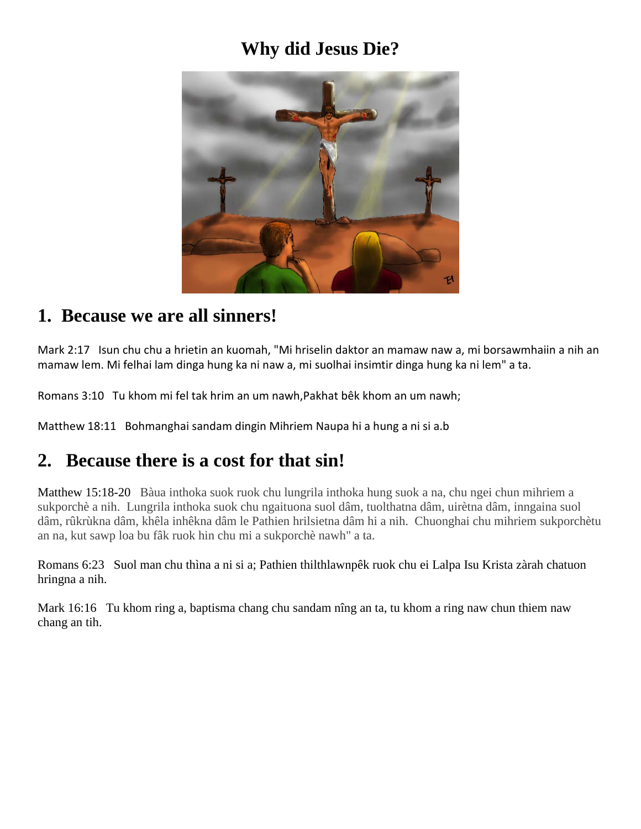# **Why did Jesus Die?**



#### **1. Because we are all sinners!**

Mark 2:17 Isun chu chu a hrietin an kuomah, "Mi hriselin daktor an mamaw naw a, mi borsawmhaiin a nih an mamaw lem. Mi felhai lam dinga hung ka ni naw a, mi suolhai insimtir dinga hung ka ni lem" a ta.

Romans 3:10 Tu khom mi fel tak hrim an um nawh,Pakhat bêk khom an um nawh;

Matthew 18:11 Bohmanghai sandam dingin Mihriem Naupa hi a hung a ni si a.b

#### **2. Because there is a cost for that sin!**

Matthew 15:18-20 Bàua inthoka suok ruok chu lungrila inthoka hung suok a na, chu ngei chun mihriem a sukporchè a nih. Lungrila inthoka suok chu ngaituona suol dâm, tuolthatna dâm, uirètna dâm, inngaina suol dâm, rûkrùkna dâm, khêla inhêkna dâm le Pathien hrilsietna dâm hi a nih. Chuonghai chu mihriem sukporchètu an na, kut sawp loa bu fâk ruok hin chu mi a sukporchè nawh" a ta.

Romans 6:23 Suol man chu thìna a ni si a; Pathien thilthlawnpêk ruok chu ei Lalpa Isu Krista zàrah chatuon hringna a nih.

Mark 16:16 Tu khom ring a, baptisma chang chu sandam nîng an ta, tu khom a ring naw chun thiem naw chang an tih.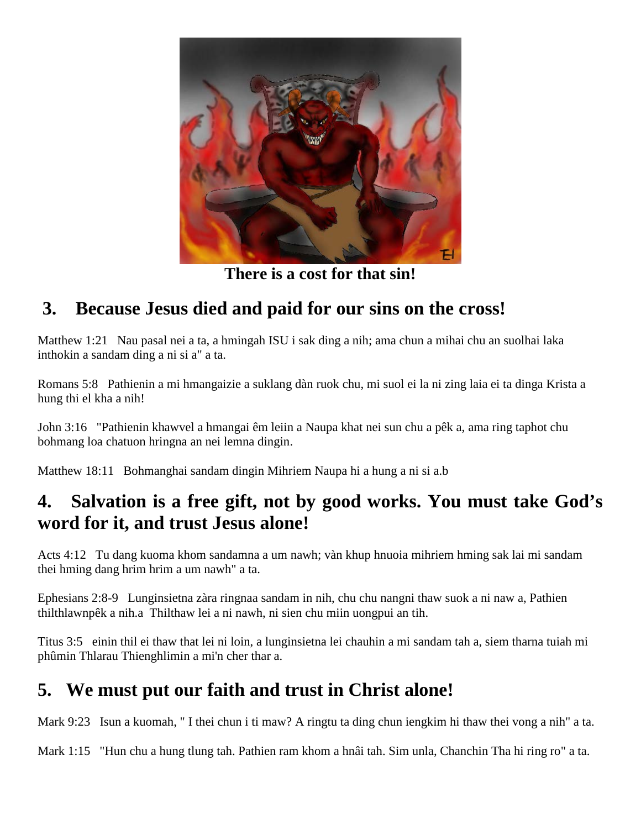

**There is a cost for that sin!**

# **3. Because Jesus died and paid for our sins on the cross!**

Matthew 1:21 Nau pasal nei a ta, a hmingah ISU i sak ding a nih; ama chun a mihai chu an suolhai laka inthokin a sandam ding a ni si a" a ta.

Romans 5:8 Pathienin a mi hmangaizie a suklang dàn ruok chu, mi suol ei la ni zing laia ei ta dinga Krista a hung thi el kha a nih!

John 3:16 "Pathienin khawvel a hmangai êm leiin a Naupa khat nei sun chu a pêk a, ama ring taphot chu bohmang loa chatuon hringna an nei lemna dingin.

Matthew 18:11 Bohmanghai sandam dingin Mihriem Naupa hi a hung a ni si a.b

#### **4. Salvation is a free gift, not by good works. You must take God's word for it, and trust Jesus alone!**

Acts 4:12 Tu dang kuoma khom sandamna a um nawh; vàn khup hnuoia mihriem hming sak lai mi sandam thei hming dang hrim hrim a um nawh" a ta.

Ephesians 2:8-9 Lunginsietna zàra ringnaa sandam in nih, chu chu nangni thaw suok a ni naw a, Pathien thilthlawnpêk a nih.a Thilthaw lei a ni nawh, ni sien chu miin uongpui an tih.

Titus 3:5 einin thil ei thaw that lei ni loin, a lunginsietna lei chauhin a mi sandam tah a, siem tharna tuiah mi phûmin Thlarau Thienghlimin a mi'n cher thar a.

# **5. We must put our faith and trust in Christ alone!**

Mark 9:23 Isun a kuomah, " I thei chun i ti maw? A ringtu ta ding chun iengkim hi thaw thei vong a nih" a ta.

Mark 1:15 "Hun chu a hung tlung tah. Pathien ram khom a hnâi tah. Sim unla, Chanchin Tha hi ring ro" a ta.